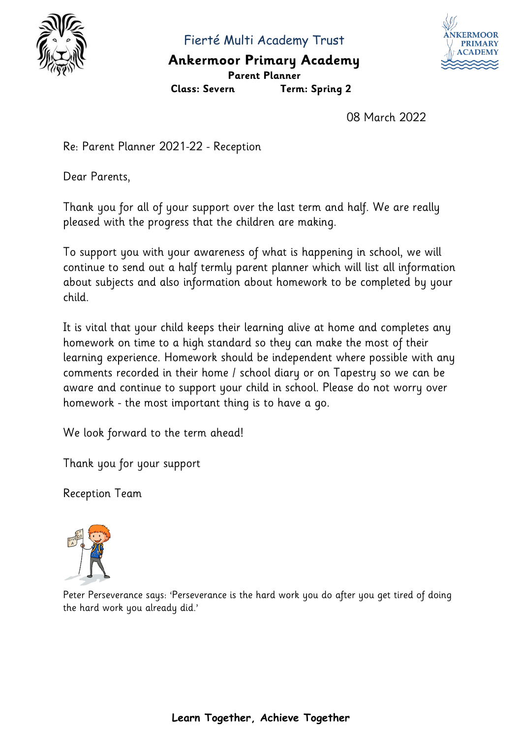

Fierté Multi Academy Trust

## **Ankermoor Primary Academy Parent Planner**



**Class: Severn Term: Spring 2**

08 March 2022

Re: Parent Planner 2021-22 - Reception

Dear Parents,

Thank you for all of your support over the last term and half. We are really pleased with the progress that the children are making.

To support you with your awareness of what is happening in school, we will continue to send out a half termly parent planner which will list all information about subjects and also information about homework to be completed by your child.

It is vital that your child keeps their learning alive at home and completes any homework on time to a high standard so they can make the most of their learning experience. Homework should be independent where possible with any comments recorded in their home / school diary or on Tapestry so we can be aware and continue to support your child in school. Please do not worry over homework - the most important thing is to have a go.

We look forward to the term ahead!

Thank you for your support

Reception Team



Peter Perseverance says: 'Perseverance is the hard work you do after you get tired of doing the hard work you already did.'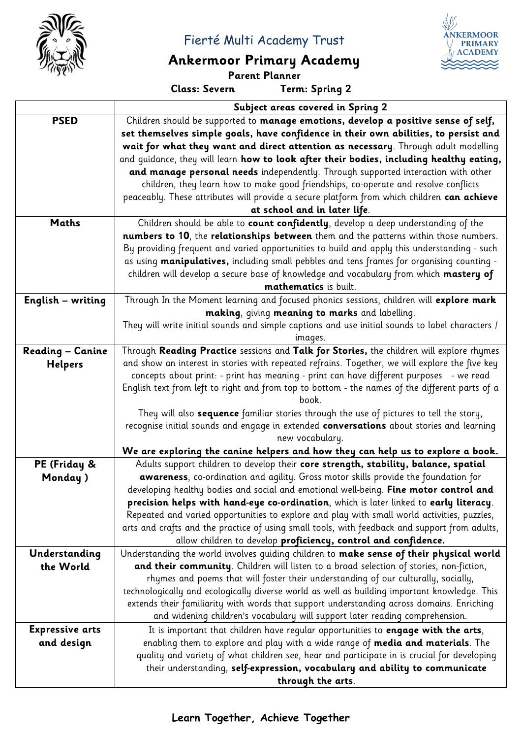

Fierté Multi Academy Trust

## **Ankermoor Primary Academy**

**Parent Planner**

**Class: Severn Term: Spring 2**

**KERMOOF PRIMARY**